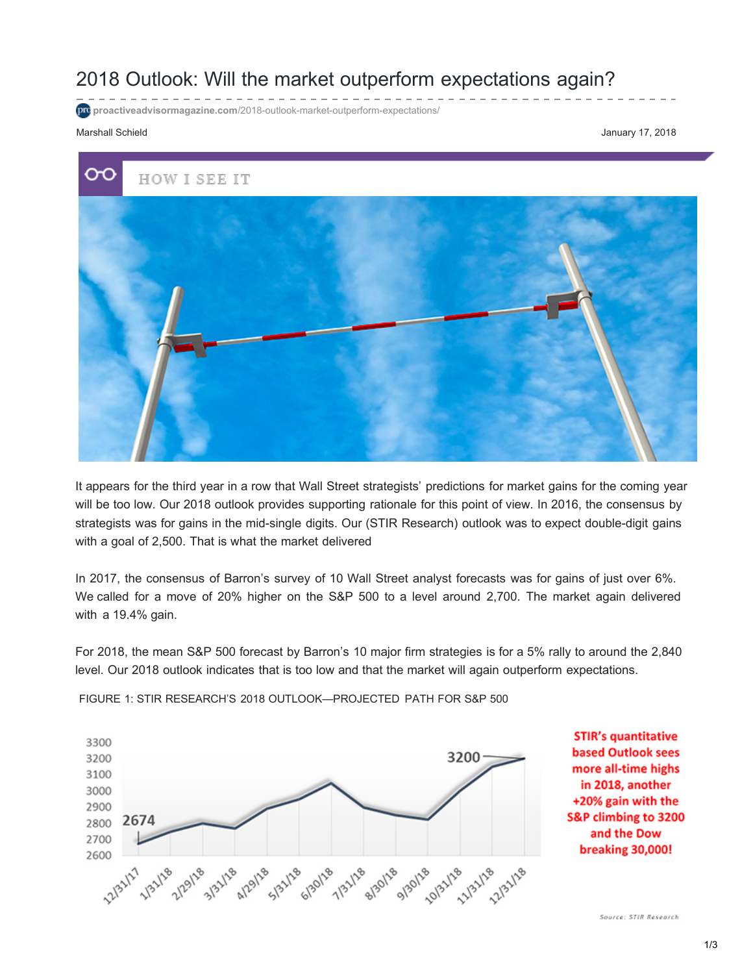## 2018 Outlook: Will the market outperform expectations again?

**proactiveadvisormagazine.com[/2018-outlook-market-outperform-expectations/](http://proactiveadvisormagazine.com/2018-outlook-market-outperform-expectations/)** 

## Marshall Schield **January 17, 2018**

2700

2600

œ HOW I SEE IT

It appears for the third year in a row that Wall Street strategists' predictions for market gains for the coming year will be too low. Our 2018 outlook provides supporting rationale for this point of view. In 2016, the consensus by strategists was for gains in the mid-single digits. Our (STIR Research) outlook was to expect double-digit gains with a goal of 2,500. That is what the market delivered

In 2017, the consensus of Barron's survey of 10 Wall Street analyst forecasts was for gains of just over 6%. We called for a move of 20% higher on the S&P 500 to a level around 2,700. The market again delivered with a 19.4% gain.

For 2018, the mean S&P 500 forecast by Barron's 10 major firm strategies is for a 5% rally to around the 2,840 level. Our 2018 outlook indicates that is too low and that the market will again outperform expectations.



1/21/21 1/21/18 1/29/18 1/29/18 1/29/18 1/20/18 1/21/28 1/20/18 1/20/20 1/21/20 1/20

**STIR's quantitative based Outlook sees** more all-time highs in 2018, another +20% gain with the S&P climbing to 3200 and the Dow breaking 30,000!

FIGURE 1: STIR RESEARCH'S 2018 OUTLOOK—PROJECTED PATH FOR S&P 500

Source: STIR Research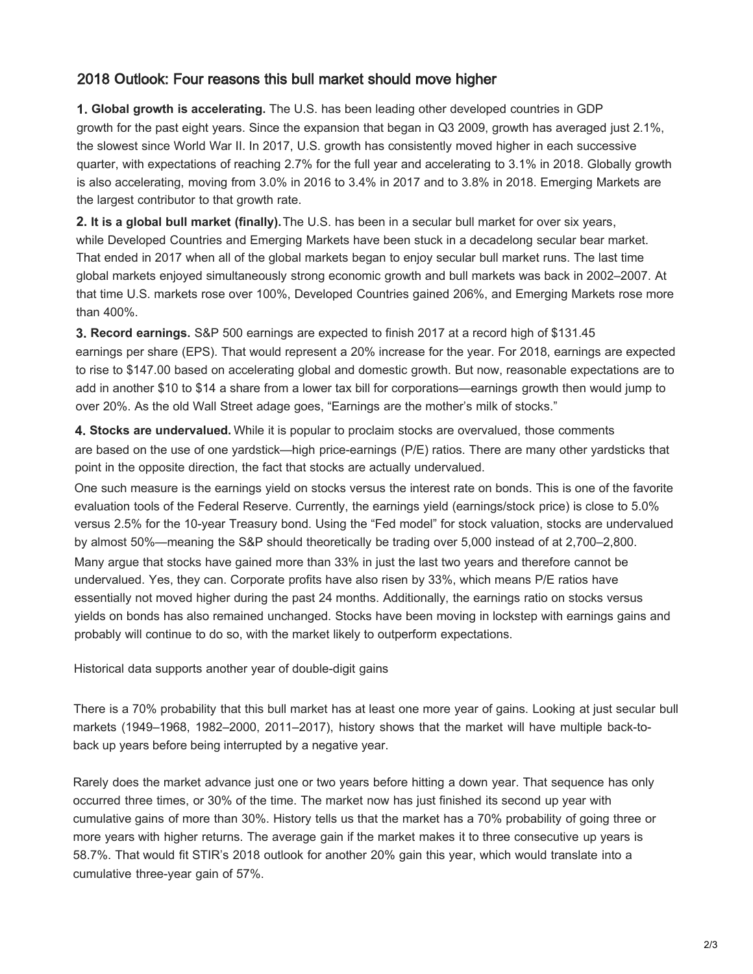## 2018 **O**utlook: Four reasons this bull market should move higher

**1. Global growth is accelerating.** The U.S. has been leading other developed countries in GDP growth for the past eight years. Since the expansion that began in Q3 2009, growth has averaged just 2.1%, the slowest since World War II. In 2017, U.S. growth has consistently moved higher in each successive quarter, with expectations of reaching 2.7% for the full year and accelerating to 3.1% in 2018. Globally growth is also accelerating, moving from 3.0% in 2016 to 3.4% in 2017 and to 3.8% in 2018. Emerging Markets are the largest contributor to that growth rate.

**2. It is a global bull market (finally).**The U.S. has been in a secular bull market for over six years, while Developed Countries and Emerging Markets have been stuck in a decadelong secular bear market. That ended in 2017 when all of the global markets began to enjoy secular bull market runs. The last time global markets enjoyed simultaneously strong economic growth and bull markets was back in 2002–2007. At that time U.S. markets rose over 100%, Developed Countries gained 206%, and Emerging Markets rose more than 400%.

**3. Record earnings.** S&P 500 earnings are expected to finish 2017 at a record high of \$131.45 earnings per share (EPS). That would represent a 20% increase for the year. For 2018, earnings are expected to rise to \$147.00 based on accelerating global and domestic growth. But now, reasonable expectations are to add in another \$10 to \$14 a share from a lower tax bill for corporations—earnings growth then would jump to over 20%. As the old Wall Street adage goes, "Earnings are the mother's milk of stocks."

**4. Stocks are undervalued.** While it is popular to proclaim stocks are overvalued, those comments are based on the use of one yardstick—high price-earnings (P/E) ratios. There are many other yardsticks that point in the opposite direction, the fact that stocks are actually undervalued.

One such measure is the earnings yield on stocks versus the interest rate on bonds. This is one of the favorite evaluation tools of the Federal Reserve. Currently, the earnings yield (earnings/stock price) is close to 5.0% versus 2.5% for the 10-year Treasury bond. Using the "Fed model" for stock valuation, stocks are undervalued by almost 50%—meaning the S&P should theoretically be trading over 5,000 instead of at 2,700–2,800. Many argue that stocks have gained more than 33% in just the last two years and therefore cannot be undervalued. Yes, they can. Corporate profits have also risen by 33%, which means P/E ratios have essentially not moved higher during the past 24 months. Additionally, the earnings ratio on stocks versus yields on bonds has also remained unchanged. Stocks have been moving in lockstep with earnings gains and probably will continue to do so, with the market likely to outperform expectations.

Historical data supports another year of double-digit gains

There is a 70% probability that this bull market has at least one more year of gains. Looking at just secular bull markets (1949–1968, 1982–2000, 2011–2017), history shows that the market will have multiple back-toback [up years before being interrupted by a negative year.](http://proactiveadvisormagazine.com/market-winners-losers-2017/)

Rarely does the market advance just one or two years before hitting a down year. That sequence has only occurred three times, or 30% of the time. The market now has just finished its second up year with cumulative gains of more than 30%. History tells us that the market has a 70% probability of going three or more years with higher returns. The average gain if the market makes it to three consecutive up years is 58.7%. That would fit STIR's 2018 outlook for another 20% gain this year, which would translate into a cumulative three-year gain of 57%.